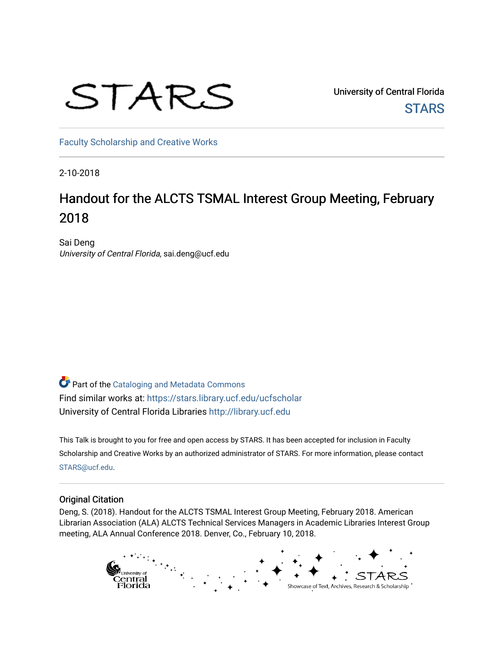# STARS

University of Central Florida **STARS** 

[Faculty Scholarship and Creative Works](https://stars.library.ucf.edu/ucfscholar) 

2-10-2018

# Handout for the ALCTS TSMAL Interest Group Meeting, February 2018

Sai Deng University of Central Florida, sai.deng@ucf.edu

**Part of the Cataloging and Metadata Commons** Find similar works at: <https://stars.library.ucf.edu/ucfscholar> University of Central Florida Libraries [http://library.ucf.edu](http://library.ucf.edu/) 

This Talk is brought to you for free and open access by STARS. It has been accepted for inclusion in Faculty Scholarship and Creative Works by an authorized administrator of STARS. For more information, please contact [STARS@ucf.edu](mailto:STARS@ucf.edu).

#### Original Citation

Deng, S. (2018). Handout for the ALCTS TSMAL Interest Group Meeting, February 2018. American Librarian Association (ALA) ALCTS Technical Services Managers in Academic Libraries Interest Group meeting, ALA Annual Conference 2018. Denver, Co., February 10, 2018.

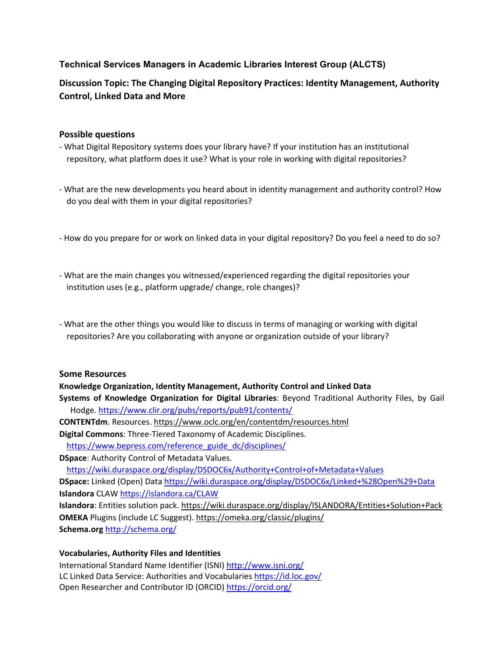### **Technical Services Managers in Academic Libraries Interest Group (ALCTS)**

## **Discussion Topic: The Changing Digital Repository Practices: Identity Management, Authority Control, Linked Data and More**

#### **Possible questions**

- ‐ What Digital Repository systems does your library have? If your institution has an institutional repository, what platform does it use? What is your role in working with digital repositories?
- ‐ What are the new developments you heard about in identity management and authority control? How do you deal with them in your digital repositories?
- ‐ How do you prepare for or work on linked data in your digital repository? Do you feel a need to do so?
- ‐ What are the main changes you witnessed/experienced regarding the digital repositories your institution uses (e.g., platform upgrade/ change, role changes)?
- ‐ What are the other things you would like to discuss in terms of managing or working with digital repositories? Are you collaborating with anyone or organization outside of your library?

#### **Some Resources**

#### **Knowledge Organization, Identity Management, Authority Control and Linked Data**

- **Systems of Knowledge Organization for Digital Libraries**: Beyond Traditional Authority Files, by Gail Hodge. https://www.clir.org/pubs/reports/pub91/contents/
- **CONTENTdm**. Resources. https://www.oclc.org/en/contentdm/resources.html
- **Digital Commons**: Three‐Tiered Taxonomy of Academic Disciplines.
- https://www.bepress.com/reference\_guide\_dc/disciplines/

**DSpace**: Authority Control of Metadata Values.

https://wiki.duraspace.org/display/DSDOC6x/Authority+Control+of+Metadata+Values

**DSpace:** Linked (Open) Data https://wiki.duraspace.org/display/DSDOC6x/Linked+%28Open%29+Data **Islandora** CLAW https://islandora.ca/CLAW

**Islandora**: Entities solution pack. https://wiki.duraspace.org/display/ISLANDORA/Entities+Solution+Pack **OMEKA** Plugins (include LC Suggest). https://omeka.org/classic/plugins/ **Schema.org** http://schema.org/

#### **Vocabularies, Authority Files and Identities**

International Standard Name Identifier (ISNI) http://www.isni.org/ LC Linked Data Service: Authorities and Vocabularies https://id.loc.gov/ Open Researcher and Contributor ID (ORCID) https://orcid.org/